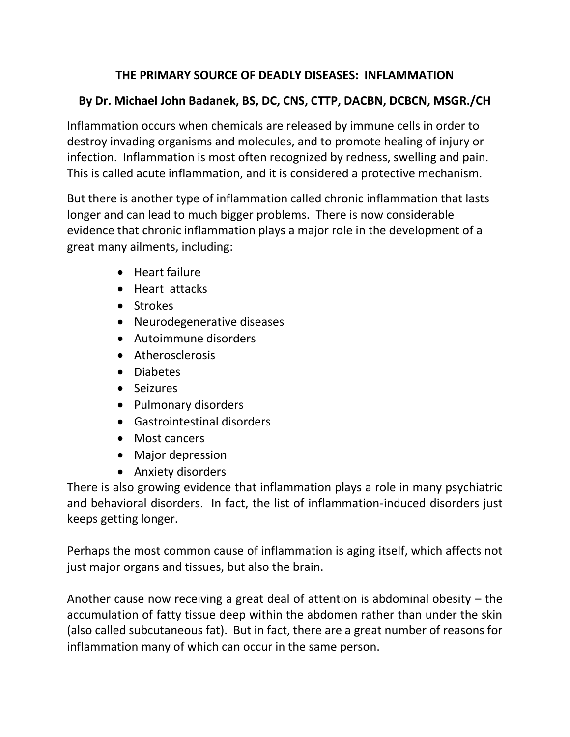# **THE PRIMARY SOURCE OF DEADLY DISEASES: INFLAMMATION**

# **By Dr. Michael John Badanek, BS, DC, CNS, CTTP, DACBN, DCBCN, MSGR./CH**

Inflammation occurs when chemicals are released by immune cells in order to destroy invading organisms and molecules, and to promote healing of injury or infection. Inflammation is most often recognized by redness, swelling and pain. This is called acute inflammation, and it is considered a protective mechanism.

But there is another type of inflammation called chronic inflammation that lasts longer and can lead to much bigger problems. There is now considerable evidence that chronic inflammation plays a major role in the development of a great many ailments, including:

- Heart failure
- Heart attacks
- Strokes
- Neurodegenerative diseases
- Autoimmune disorders
- Atherosclerosis
- Diabetes
- Seizures
- Pulmonary disorders
- Gastrointestinal disorders
- Most cancers
- Major depression
- Anxiety disorders

There is also growing evidence that inflammation plays a role in many psychiatric and behavioral disorders. In fact, the list of inflammation-induced disorders just keeps getting longer.

Perhaps the most common cause of inflammation is aging itself, which affects not just major organs and tissues, but also the brain.

Another cause now receiving a great deal of attention is abdominal obesity – the accumulation of fatty tissue deep within the abdomen rather than under the skin (also called subcutaneous fat). But in fact, there are a great number of reasons for inflammation many of which can occur in the same person.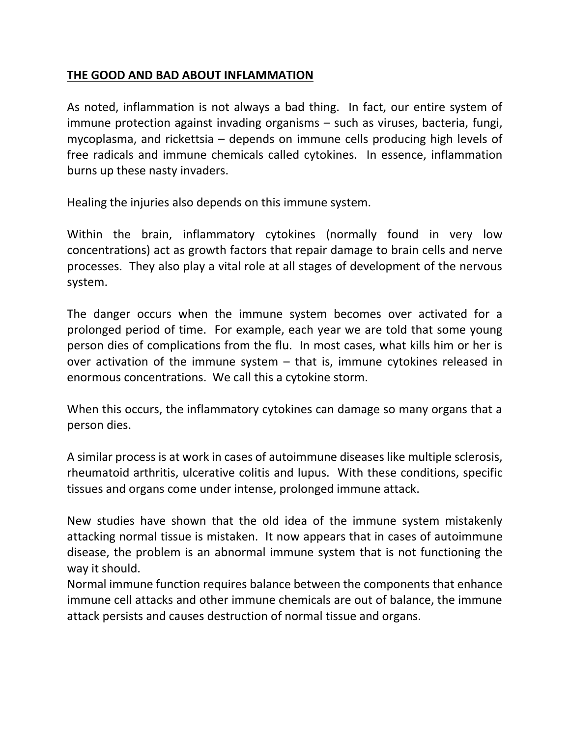### **THE GOOD AND BAD ABOUT INFLAMMATION**

As noted, inflammation is not always a bad thing. In fact, our entire system of immune protection against invading organisms – such as viruses, bacteria, fungi, mycoplasma, and rickettsia – depends on immune cells producing high levels of free radicals and immune chemicals called cytokines. In essence, inflammation burns up these nasty invaders.

Healing the injuries also depends on this immune system.

Within the brain, inflammatory cytokines (normally found in very low concentrations) act as growth factors that repair damage to brain cells and nerve processes. They also play a vital role at all stages of development of the nervous system.

The danger occurs when the immune system becomes over activated for a prolonged period of time. For example, each year we are told that some young person dies of complications from the flu. In most cases, what kills him or her is over activation of the immune system – that is, immune cytokines released in enormous concentrations. We call this a cytokine storm.

When this occurs, the inflammatory cytokines can damage so many organs that a person dies.

A similar process is at work in cases of autoimmune diseases like multiple sclerosis, rheumatoid arthritis, ulcerative colitis and lupus. With these conditions, specific tissues and organs come under intense, prolonged immune attack.

New studies have shown that the old idea of the immune system mistakenly attacking normal tissue is mistaken. It now appears that in cases of autoimmune disease, the problem is an abnormal immune system that is not functioning the way it should.

Normal immune function requires balance between the components that enhance immune cell attacks and other immune chemicals are out of balance, the immune attack persists and causes destruction of normal tissue and organs.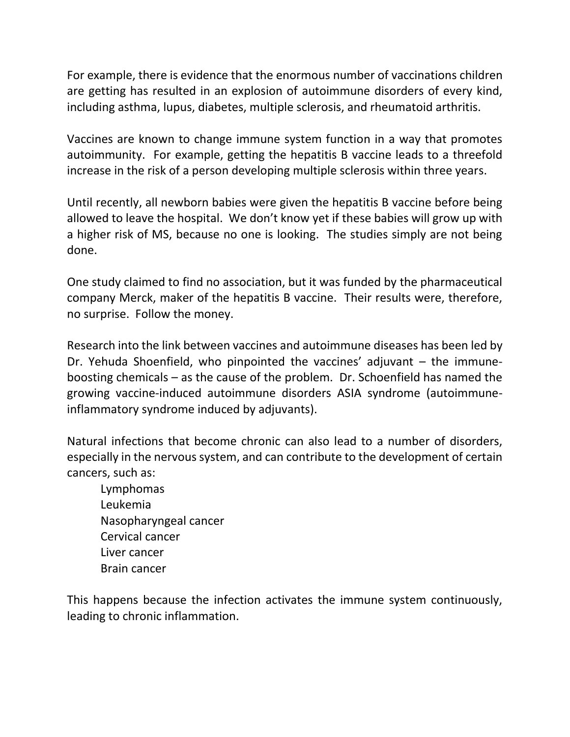For example, there is evidence that the enormous number of vaccinations children are getting has resulted in an explosion of autoimmune disorders of every kind, including asthma, lupus, diabetes, multiple sclerosis, and rheumatoid arthritis.

Vaccines are known to change immune system function in a way that promotes autoimmunity. For example, getting the hepatitis B vaccine leads to a threefold increase in the risk of a person developing multiple sclerosis within three years.

Until recently, all newborn babies were given the hepatitis B vaccine before being allowed to leave the hospital. We don't know yet if these babies will grow up with a higher risk of MS, because no one is looking. The studies simply are not being done.

One study claimed to find no association, but it was funded by the pharmaceutical company Merck, maker of the hepatitis B vaccine. Their results were, therefore, no surprise. Follow the money.

Research into the link between vaccines and autoimmune diseases has been led by Dr. Yehuda Shoenfield, who pinpointed the vaccines' adjuvant – the immuneboosting chemicals – as the cause of the problem. Dr. Schoenfield has named the growing vaccine-induced autoimmune disorders ASIA syndrome (autoimmuneinflammatory syndrome induced by adjuvants).

Natural infections that become chronic can also lead to a number of disorders, especially in the nervous system, and can contribute to the development of certain cancers, such as:

Lymphomas Leukemia Nasopharyngeal cancer Cervical cancer Liver cancer Brain cancer

This happens because the infection activates the immune system continuously, leading to chronic inflammation.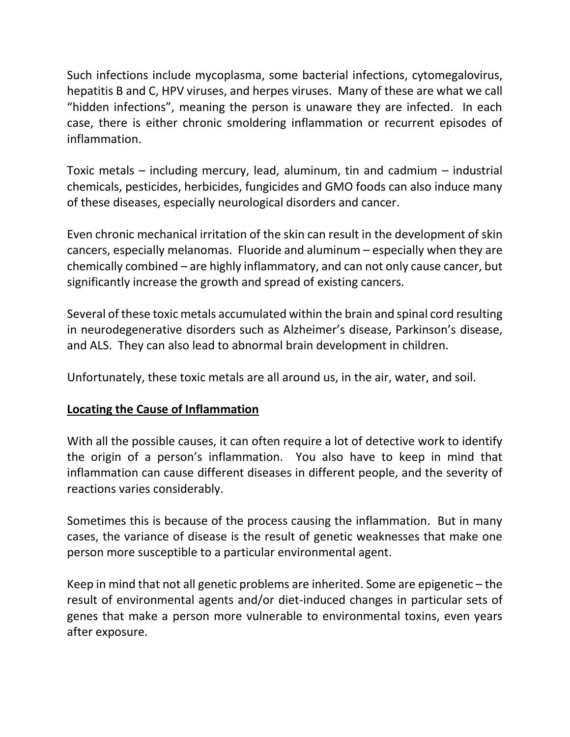Such infections include mycoplasma, some bacterial infections, cytomegalovirus, hepatitis B and C, HPV viruses, and herpes viruses. Many of these are what we call "hidden infections", meaning the person is unaware they are infected. In each case, there is either chronic smoldering inflammation or recurrent episodes of inflammation.

Toxic metals – including mercury, lead, aluminum, tin and cadmium – industrial chemicals, pesticides, herbicides, fungicides and GMO foods can also induce many of these diseases, especially neurological disorders and cancer.

Even chronic mechanical irritation of the skin can result in the development of skin cancers, especially melanomas. Fluoride and aluminum – especially when they are chemically combined – are highly inflammatory, and can not only cause cancer, but significantly increase the growth and spread of existing cancers.

Several of these toxic metals accumulated within the brain and spinal cord resulting in neurodegenerative disorders such as Alzheimer's disease, Parkinson's disease, and ALS. They can also lead to abnormal brain development in children.

Unfortunately, these toxic metals are all around us, in the air, water, and soil.

## **Locating the Cause of Inflammation**

With all the possible causes, it can often require a lot of detective work to identify the origin of a person's inflammation. You also have to keep in mind that inflammation can cause different diseases in different people, and the severity of reactions varies considerably.

Sometimes this is because of the process causing the inflammation. But in many cases, the variance of disease is the result of genetic weaknesses that make one person more susceptible to a particular environmental agent.

Keep in mind that not all genetic problems are inherited. Some are epigenetic – the result of environmental agents and/or diet-induced changes in particular sets of genes that make a person more vulnerable to environmental toxins, even years after exposure.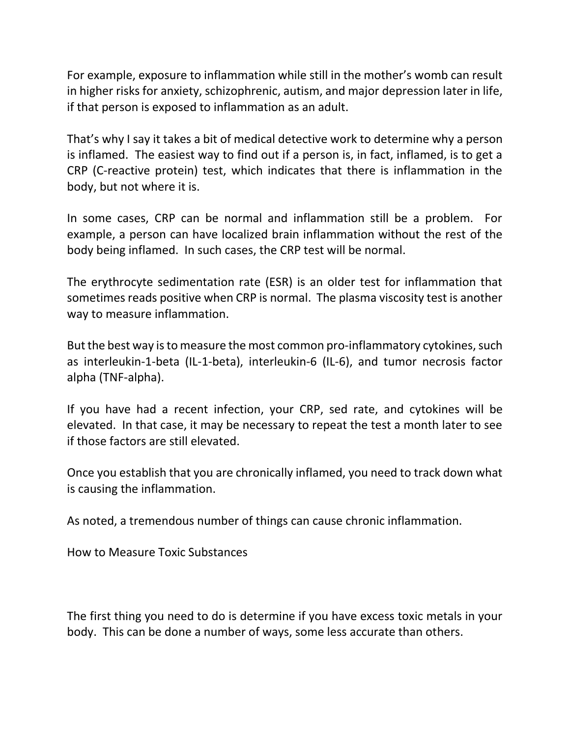For example, exposure to inflammation while still in the mother's womb can result in higher risks for anxiety, schizophrenic, autism, and major depression later in life, if that person is exposed to inflammation as an adult.

That's why I say it takes a bit of medical detective work to determine why a person is inflamed. The easiest way to find out if a person is, in fact, inflamed, is to get a CRP (C-reactive protein) test, which indicates that there is inflammation in the body, but not where it is.

In some cases, CRP can be normal and inflammation still be a problem. For example, a person can have localized brain inflammation without the rest of the body being inflamed. In such cases, the CRP test will be normal.

The erythrocyte sedimentation rate (ESR) is an older test for inflammation that sometimes reads positive when CRP is normal. The plasma viscosity test is another way to measure inflammation.

But the best way is to measure the most common pro-inflammatory cytokines, such as interleukin-1-beta (IL-1-beta), interleukin-6 (IL-6), and tumor necrosis factor alpha (TNF-alpha).

If you have had a recent infection, your CRP, sed rate, and cytokines will be elevated. In that case, it may be necessary to repeat the test a month later to see if those factors are still elevated.

Once you establish that you are chronically inflamed, you need to track down what is causing the inflammation.

As noted, a tremendous number of things can cause chronic inflammation.

How to Measure Toxic Substances

The first thing you need to do is determine if you have excess toxic metals in your body. This can be done a number of ways, some less accurate than others.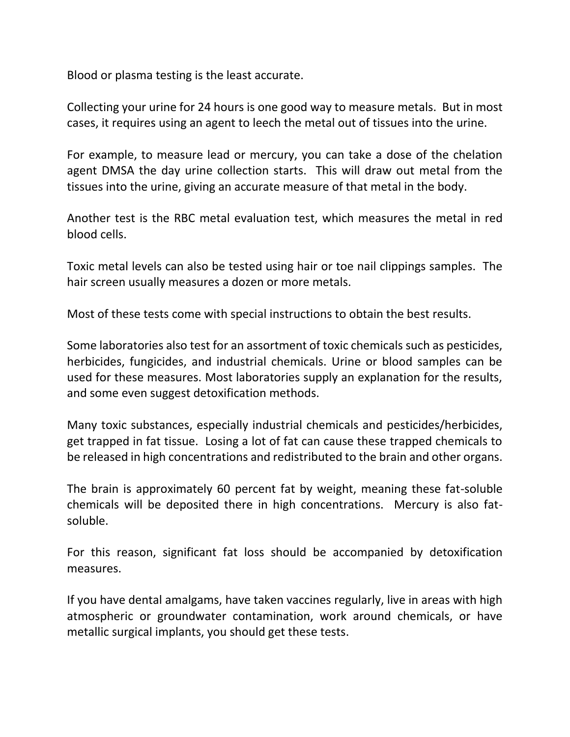Blood or plasma testing is the least accurate.

Collecting your urine for 24 hours is one good way to measure metals. But in most cases, it requires using an agent to leech the metal out of tissues into the urine.

For example, to measure lead or mercury, you can take a dose of the chelation agent DMSA the day urine collection starts. This will draw out metal from the tissues into the urine, giving an accurate measure of that metal in the body.

Another test is the RBC metal evaluation test, which measures the metal in red blood cells.

Toxic metal levels can also be tested using hair or toe nail clippings samples. The hair screen usually measures a dozen or more metals.

Most of these tests come with special instructions to obtain the best results.

Some laboratories also test for an assortment of toxic chemicals such as pesticides, herbicides, fungicides, and industrial chemicals. Urine or blood samples can be used for these measures. Most laboratories supply an explanation for the results, and some even suggest detoxification methods.

Many toxic substances, especially industrial chemicals and pesticides/herbicides, get trapped in fat tissue. Losing a lot of fat can cause these trapped chemicals to be released in high concentrations and redistributed to the brain and other organs.

The brain is approximately 60 percent fat by weight, meaning these fat-soluble chemicals will be deposited there in high concentrations. Mercury is also fatsoluble.

For this reason, significant fat loss should be accompanied by detoxification measures.

If you have dental amalgams, have taken vaccines regularly, live in areas with high atmospheric or groundwater contamination, work around chemicals, or have metallic surgical implants, you should get these tests.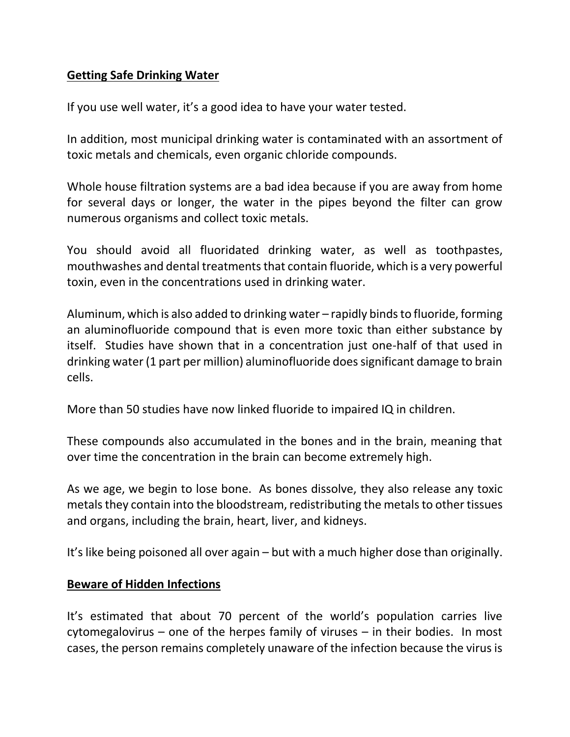## **Getting Safe Drinking Water**

If you use well water, it's a good idea to have your water tested.

In addition, most municipal drinking water is contaminated with an assortment of toxic metals and chemicals, even organic chloride compounds.

Whole house filtration systems are a bad idea because if you are away from home for several days or longer, the water in the pipes beyond the filter can grow numerous organisms and collect toxic metals.

You should avoid all fluoridated drinking water, as well as toothpastes, mouthwashes and dental treatments that contain fluoride, which is a very powerful toxin, even in the concentrations used in drinking water.

Aluminum, which is also added to drinking water – rapidly binds to fluoride, forming an aluminofluoride compound that is even more toxic than either substance by itself. Studies have shown that in a concentration just one-half of that used in drinking water (1 part per million) aluminofluoride does significant damage to brain cells.

More than 50 studies have now linked fluoride to impaired IQ in children.

These compounds also accumulated in the bones and in the brain, meaning that over time the concentration in the brain can become extremely high.

As we age, we begin to lose bone. As bones dissolve, they also release any toxic metals they contain into the bloodstream, redistributing the metals to other tissues and organs, including the brain, heart, liver, and kidneys.

It's like being poisoned all over again – but with a much higher dose than originally.

#### **Beware of Hidden Infections**

It's estimated that about 70 percent of the world's population carries live cytomegalovirus – one of the herpes family of viruses – in their bodies. In most cases, the person remains completely unaware of the infection because the virus is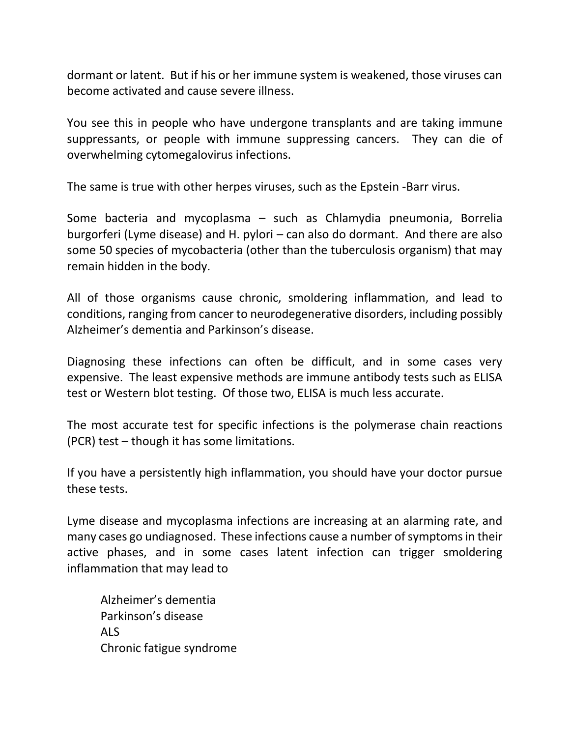dormant or latent. But if his or her immune system is weakened, those viruses can become activated and cause severe illness.

You see this in people who have undergone transplants and are taking immune suppressants, or people with immune suppressing cancers. They can die of overwhelming cytomegalovirus infections.

The same is true with other herpes viruses, such as the Epstein -Barr virus.

Some bacteria and mycoplasma – such as Chlamydia pneumonia, Borrelia burgorferi (Lyme disease) and H. pylori – can also do dormant. And there are also some 50 species of mycobacteria (other than the tuberculosis organism) that may remain hidden in the body.

All of those organisms cause chronic, smoldering inflammation, and lead to conditions, ranging from cancer to neurodegenerative disorders, including possibly Alzheimer's dementia and Parkinson's disease.

Diagnosing these infections can often be difficult, and in some cases very expensive. The least expensive methods are immune antibody tests such as ELISA test or Western blot testing. Of those two, ELISA is much less accurate.

The most accurate test for specific infections is the polymerase chain reactions (PCR) test – though it has some limitations.

If you have a persistently high inflammation, you should have your doctor pursue these tests.

Lyme disease and mycoplasma infections are increasing at an alarming rate, and many cases go undiagnosed. These infections cause a number of symptoms in their active phases, and in some cases latent infection can trigger smoldering inflammation that may lead to

Alzheimer's dementia Parkinson's disease ALS Chronic fatigue syndrome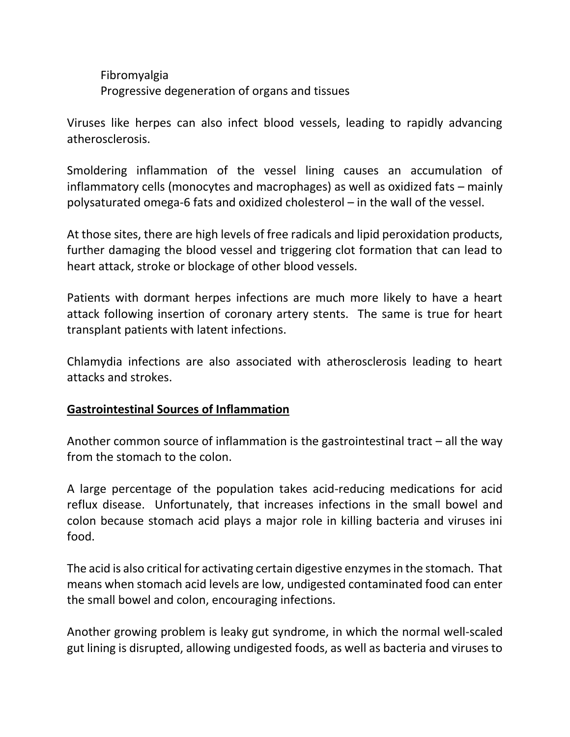Fibromyalgia Progressive degeneration of organs and tissues

Viruses like herpes can also infect blood vessels, leading to rapidly advancing atherosclerosis.

Smoldering inflammation of the vessel lining causes an accumulation of inflammatory cells (monocytes and macrophages) as well as oxidized fats – mainly polysaturated omega-6 fats and oxidized cholesterol – in the wall of the vessel.

At those sites, there are high levels of free radicals and lipid peroxidation products, further damaging the blood vessel and triggering clot formation that can lead to heart attack, stroke or blockage of other blood vessels.

Patients with dormant herpes infections are much more likely to have a heart attack following insertion of coronary artery stents. The same is true for heart transplant patients with latent infections.

Chlamydia infections are also associated with atherosclerosis leading to heart attacks and strokes.

## **Gastrointestinal Sources of Inflammation**

Another common source of inflammation is the gastrointestinal tract – all the way from the stomach to the colon.

A large percentage of the population takes acid-reducing medications for acid reflux disease. Unfortunately, that increases infections in the small bowel and colon because stomach acid plays a major role in killing bacteria and viruses ini food.

The acid is also critical for activating certain digestive enzymes in the stomach. That means when stomach acid levels are low, undigested contaminated food can enter the small bowel and colon, encouraging infections.

Another growing problem is leaky gut syndrome, in which the normal well-scaled gut lining is disrupted, allowing undigested foods, as well as bacteria and viruses to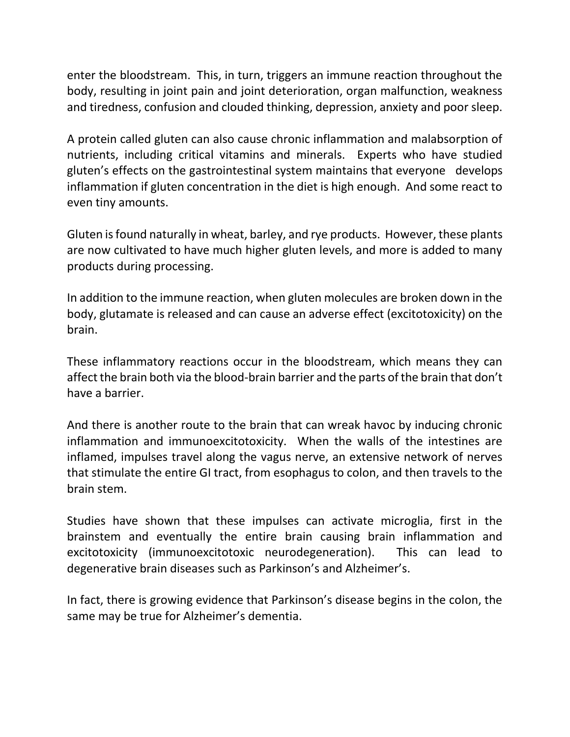enter the bloodstream. This, in turn, triggers an immune reaction throughout the body, resulting in joint pain and joint deterioration, organ malfunction, weakness and tiredness, confusion and clouded thinking, depression, anxiety and poor sleep.

A protein called gluten can also cause chronic inflammation and malabsorption of nutrients, including critical vitamins and minerals. Experts who have studied gluten's effects on the gastrointestinal system maintains that everyone develops inflammation if gluten concentration in the diet is high enough. And some react to even tiny amounts.

Gluten is found naturally in wheat, barley, and rye products. However, these plants are now cultivated to have much higher gluten levels, and more is added to many products during processing.

In addition to the immune reaction, when gluten molecules are broken down in the body, glutamate is released and can cause an adverse effect (excitotoxicity) on the brain.

These inflammatory reactions occur in the bloodstream, which means they can affect the brain both via the blood-brain barrier and the parts of the brain that don't have a barrier.

And there is another route to the brain that can wreak havoc by inducing chronic inflammation and immunoexcitotoxicity. When the walls of the intestines are inflamed, impulses travel along the vagus nerve, an extensive network of nerves that stimulate the entire GI tract, from esophagus to colon, and then travels to the brain stem.

Studies have shown that these impulses can activate microglia, first in the brainstem and eventually the entire brain causing brain inflammation and excitotoxicity (immunoexcitotoxic neurodegeneration). This can lead to degenerative brain diseases such as Parkinson's and Alzheimer's.

In fact, there is growing evidence that Parkinson's disease begins in the colon, the same may be true for Alzheimer's dementia.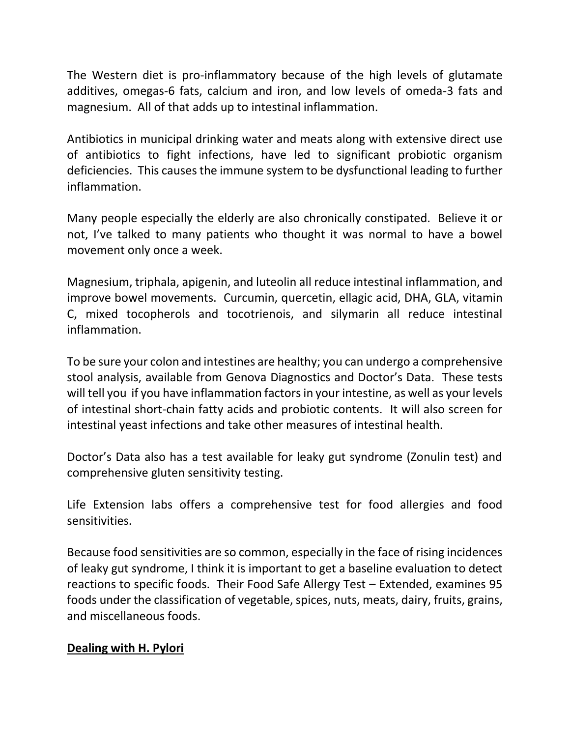The Western diet is pro-inflammatory because of the high levels of glutamate additives, omegas-6 fats, calcium and iron, and low levels of omeda-3 fats and magnesium. All of that adds up to intestinal inflammation.

Antibiotics in municipal drinking water and meats along with extensive direct use of antibiotics to fight infections, have led to significant probiotic organism deficiencies. This causes the immune system to be dysfunctional leading to further inflammation.

Many people especially the elderly are also chronically constipated. Believe it or not, I've talked to many patients who thought it was normal to have a bowel movement only once a week.

Magnesium, triphala, apigenin, and luteolin all reduce intestinal inflammation, and improve bowel movements. Curcumin, quercetin, ellagic acid, DHA, GLA, vitamin C, mixed tocopherols and tocotrienois, and silymarin all reduce intestinal inflammation.

To be sure your colon and intestines are healthy; you can undergo a comprehensive stool analysis, available from Genova Diagnostics and Doctor's Data. These tests will tell you if you have inflammation factors in your intestine, as well as your levels of intestinal short-chain fatty acids and probiotic contents. It will also screen for intestinal yeast infections and take other measures of intestinal health.

Doctor's Data also has a test available for leaky gut syndrome (Zonulin test) and comprehensive gluten sensitivity testing.

Life Extension labs offers a comprehensive test for food allergies and food sensitivities.

Because food sensitivities are so common, especially in the face of rising incidences of leaky gut syndrome, I think it is important to get a baseline evaluation to detect reactions to specific foods. Their Food Safe Allergy Test – Extended, examines 95 foods under the classification of vegetable, spices, nuts, meats, dairy, fruits, grains, and miscellaneous foods.

## **Dealing with H. Pylori**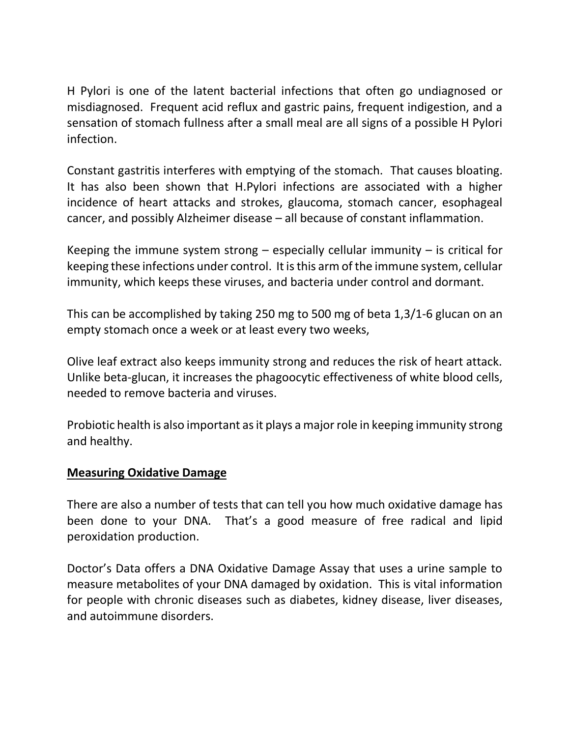H Pylori is one of the latent bacterial infections that often go undiagnosed or misdiagnosed. Frequent acid reflux and gastric pains, frequent indigestion, and a sensation of stomach fullness after a small meal are all signs of a possible H Pylori infection.

Constant gastritis interferes with emptying of the stomach. That causes bloating. It has also been shown that H.Pylori infections are associated with a higher incidence of heart attacks and strokes, glaucoma, stomach cancer, esophageal cancer, and possibly Alzheimer disease – all because of constant inflammation.

Keeping the immune system strong  $-$  especially cellular immunity  $-$  is critical for keeping these infections under control. It is this arm of the immune system, cellular immunity, which keeps these viruses, and bacteria under control and dormant.

This can be accomplished by taking 250 mg to 500 mg of beta 1,3/1-6 glucan on an empty stomach once a week or at least every two weeks,

Olive leaf extract also keeps immunity strong and reduces the risk of heart attack. Unlike beta-glucan, it increases the phagoocytic effectiveness of white blood cells, needed to remove bacteria and viruses.

Probiotic health is also important as it plays a major role in keeping immunity strong and healthy.

## **Measuring Oxidative Damage**

There are also a number of tests that can tell you how much oxidative damage has been done to your DNA. That's a good measure of free radical and lipid peroxidation production.

Doctor's Data offers a DNA Oxidative Damage Assay that uses a urine sample to measure metabolites of your DNA damaged by oxidation. This is vital information for people with chronic diseases such as diabetes, kidney disease, liver diseases, and autoimmune disorders.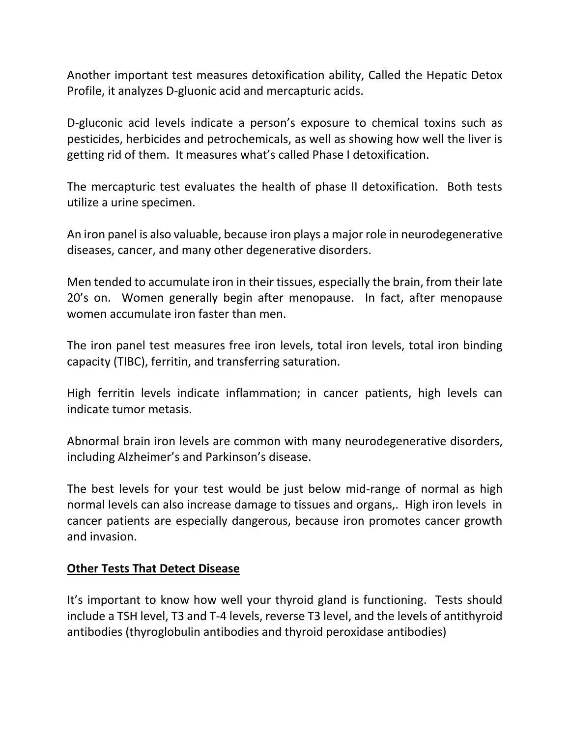Another important test measures detoxification ability, Called the Hepatic Detox Profile, it analyzes D-gluonic acid and mercapturic acids.

D-gluconic acid levels indicate a person's exposure to chemical toxins such as pesticides, herbicides and petrochemicals, as well as showing how well the liver is getting rid of them. It measures what's called Phase I detoxification.

The mercapturic test evaluates the health of phase II detoxification. Both tests utilize a urine specimen.

An iron panel is also valuable, because iron plays a major role in neurodegenerative diseases, cancer, and many other degenerative disorders.

Men tended to accumulate iron in their tissues, especially the brain, from their late 20's on. Women generally begin after menopause. In fact, after menopause women accumulate iron faster than men.

The iron panel test measures free iron levels, total iron levels, total iron binding capacity (TIBC), ferritin, and transferring saturation.

High ferritin levels indicate inflammation; in cancer patients, high levels can indicate tumor metasis.

Abnormal brain iron levels are common with many neurodegenerative disorders, including Alzheimer's and Parkinson's disease.

The best levels for your test would be just below mid-range of normal as high normal levels can also increase damage to tissues and organs,. High iron levels in cancer patients are especially dangerous, because iron promotes cancer growth and invasion.

#### **Other Tests That Detect Disease**

It's important to know how well your thyroid gland is functioning. Tests should include a TSH level, T3 and T-4 levels, reverse T3 level, and the levels of antithyroid antibodies (thyroglobulin antibodies and thyroid peroxidase antibodies)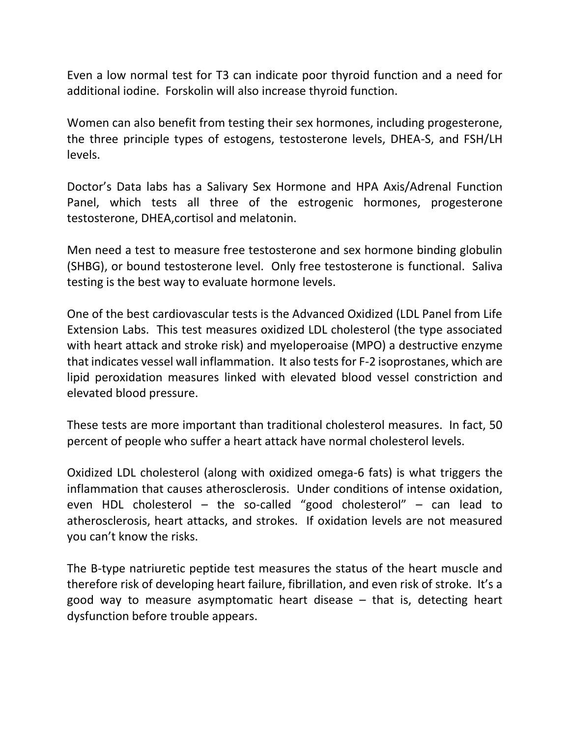Even a low normal test for T3 can indicate poor thyroid function and a need for additional iodine. Forskolin will also increase thyroid function.

Women can also benefit from testing their sex hormones, including progesterone, the three principle types of estogens, testosterone levels, DHEA-S, and FSH/LH levels.

Doctor's Data labs has a Salivary Sex Hormone and HPA Axis/Adrenal Function Panel, which tests all three of the estrogenic hormones, progesterone testosterone, DHEA,cortisol and melatonin.

Men need a test to measure free testosterone and sex hormone binding globulin (SHBG), or bound testosterone level. Only free testosterone is functional. Saliva testing is the best way to evaluate hormone levels.

One of the best cardiovascular tests is the Advanced Oxidized (LDL Panel from Life Extension Labs. This test measures oxidized LDL cholesterol (the type associated with heart attack and stroke risk) and myeloperoaise (MPO) a destructive enzyme that indicates vessel wall inflammation. It also tests for F-2 isoprostanes, which are lipid peroxidation measures linked with elevated blood vessel constriction and elevated blood pressure.

These tests are more important than traditional cholesterol measures. In fact, 50 percent of people who suffer a heart attack have normal cholesterol levels.

Oxidized LDL cholesterol (along with oxidized omega-6 fats) is what triggers the inflammation that causes atherosclerosis. Under conditions of intense oxidation, even HDL cholesterol – the so-called "good cholesterol" – can lead to atherosclerosis, heart attacks, and strokes. If oxidation levels are not measured you can't know the risks.

The B-type natriuretic peptide test measures the status of the heart muscle and therefore risk of developing heart failure, fibrillation, and even risk of stroke. It's a good way to measure asymptomatic heart disease – that is, detecting heart dysfunction before trouble appears.